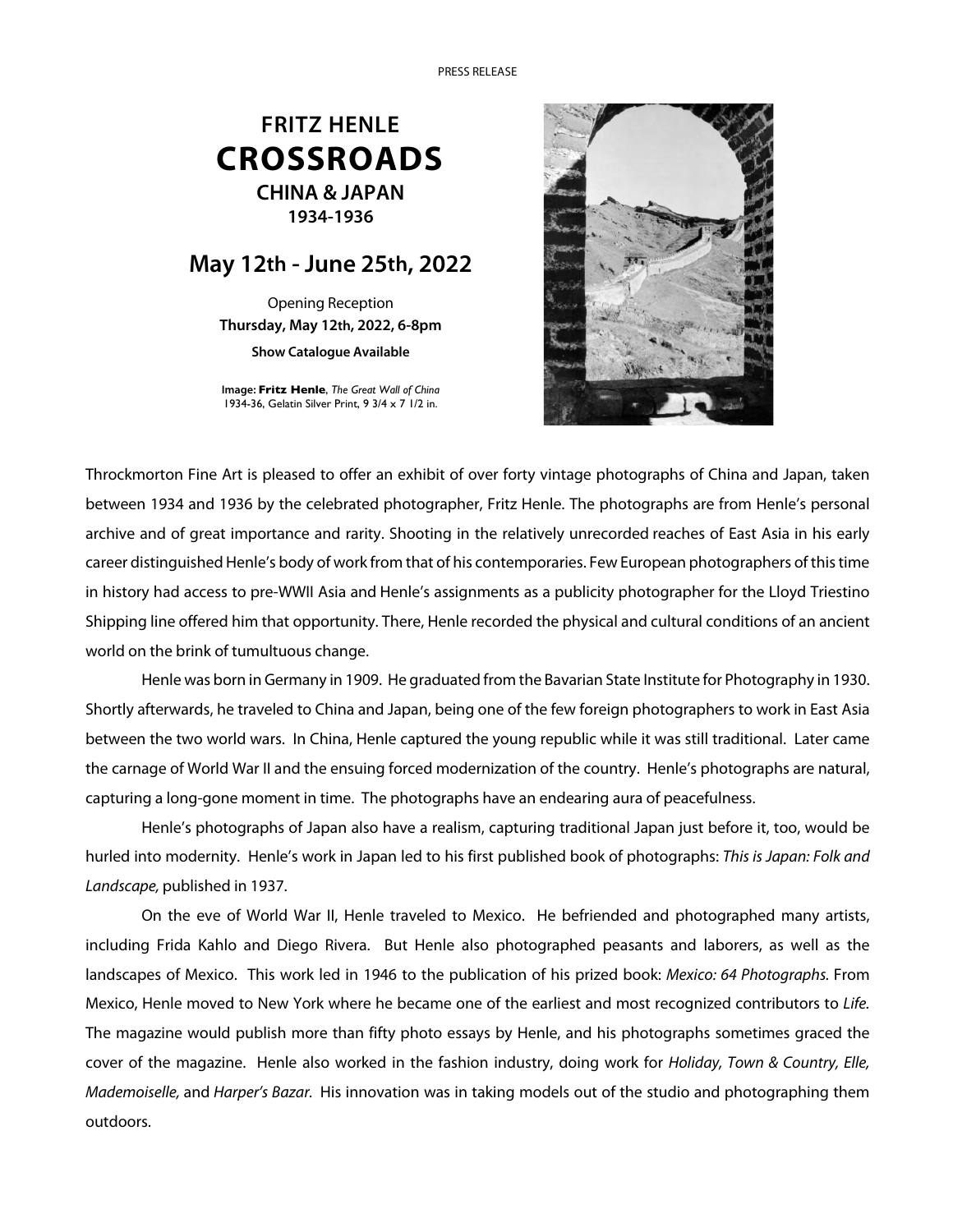## **FRITZ HENLE CROSSROADS CHINA & JAPAN**

**1934-1936**

## **May 12th - June 25th, 2022**

Opening Reception **Thursday, May 12th, 2022, 6-8pm Show Catalogue Available**

**Image: Fritz Henle**, *The Great Wall of China* 1934-36, Gelatin Silver Print, 9 3/4 x 7 1/2 in.



Throckmorton Fine Art is pleased to offer an exhibit of over forty vintage photographs of China and Japan, taken between 1934 and 1936 by the celebrated photographer, Fritz Henle. The photographs are from Henle's personal archive and of great importance and rarity. Shooting in the relatively unrecorded reaches of East Asia in his early career distinguished Henle's body of work from that of his contemporaries. Few European photographers of this time in history had access to pre-WWII Asia and Henle's assignments as a publicity photographer for the Lloyd Triestino Shipping line offered him that opportunity. There, Henle recorded the physical and cultural conditions of an ancient world on the brink of tumultuous change.

Henle was born in Germany in 1909. He graduated from the Bavarian State Institute for Photography in 1930. Shortly afterwards, he traveled to China and Japan, being one of the few foreign photographers to work in East Asia between the two world wars. In China, Henle captured the young republic while it was still traditional. Later came the carnage of World War II and the ensuing forced modernization of the country. Henle's photographs are natural, capturing a long-gone moment in time. The photographs have an endearing aura of peacefulness.

Henle's photographs of Japan also have a realism, capturing traditional Japan just before it, too, would be hurled into modernity. Henle's work in Japan led to his first published book of photographs: *This is Japan: Folk and Landscape,* published in 1937.

On the eve of World War II, Henle traveled to Mexico. He befriended and photographed many artists, including Frida Kahlo and Diego Rivera. But Henle also photographed peasants and laborers, as well as the landscapes of Mexico. This work led in 1946 to the publication of his prized book: *Mexico: 64 Photographs.* From Mexico, Henle moved to New York where he became one of the earliest and most recognized contributors to *Life.*  The magazine would publish more than fifty photo essays by Henle, and his photographs sometimes graced the cover of the magazine. Henle also worked in the fashion industry, doing work for *Holiday, Town & Country, Elle, Mademoiselle,* and *Harper's Bazar.* His innovation was in taking models out of the studio and photographing them outdoors.